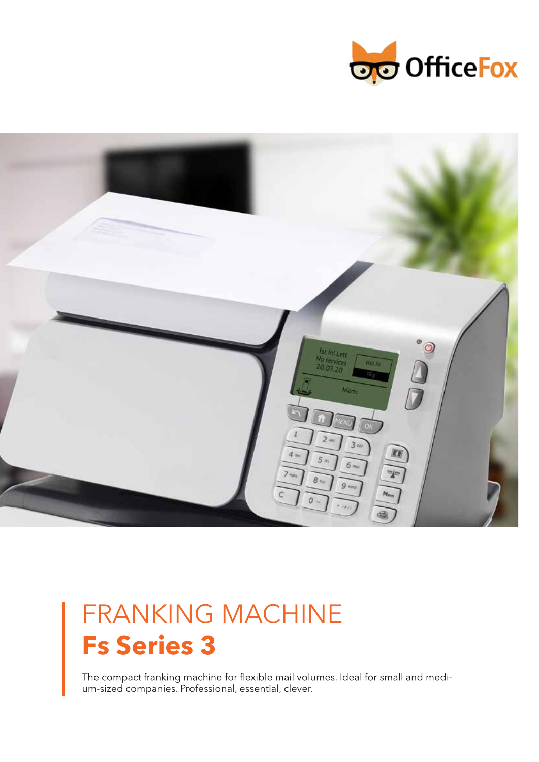



# FRANKING MACHINE **Fs Series 3**

The compact franking machine for flexible mail volumes. Ideal for small and medium-sized companies. Professional, essential, clever.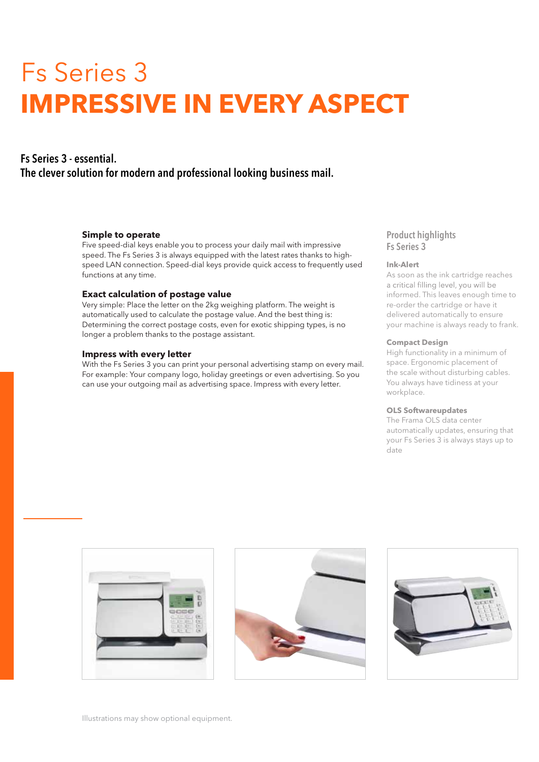# Fs Series 3 **IMPRESSIVE IN EVERY ASPECT**

# Fs Series 3 - essential. The clever solution for modern and professional looking business mail.

### **Simple to operate**

Five speed-dial keys enable you to process your daily mail with impressive speed. The Fs Series 3 is always equipped with the latest rates thanks to highspeed LAN connection. Speed-dial keys provide quick access to frequently used functions at any time.

### **Exact calculation of postage value**

Very simple: Place the letter on the 2kg weighing platform. The weight is automatically used to calculate the postage value. And the best thing is: Determining the correct postage costs, even for exotic shipping types, is no longer a problem thanks to the postage assistant.

# **Impress with every letter**

With the Fs Series 3 you can print your personal advertising stamp on every mail. For example: Your company logo, holiday greetings or even advertising. So you can use your outgoing mail as advertising space. Impress with every letter.

# Product highlights Fs Series 3

# **Ink-Alert**

As soon as the ink cartridge reaches<br>a critical filling level, you will be informed. This leaves enough time to re-order the cartridge or have it delivered automatically to ensure your machine is always ready to frank.

#### **Compact Design**

High functionality in a minimum of space. Ergonomic placement of the scale without disturbing cables. You always have tidiness at your workplace.

### **OLS Softwareupdates**

The Frama OLS data center automatically updates, ensuring that your Fs Series 3 is always stays up to date